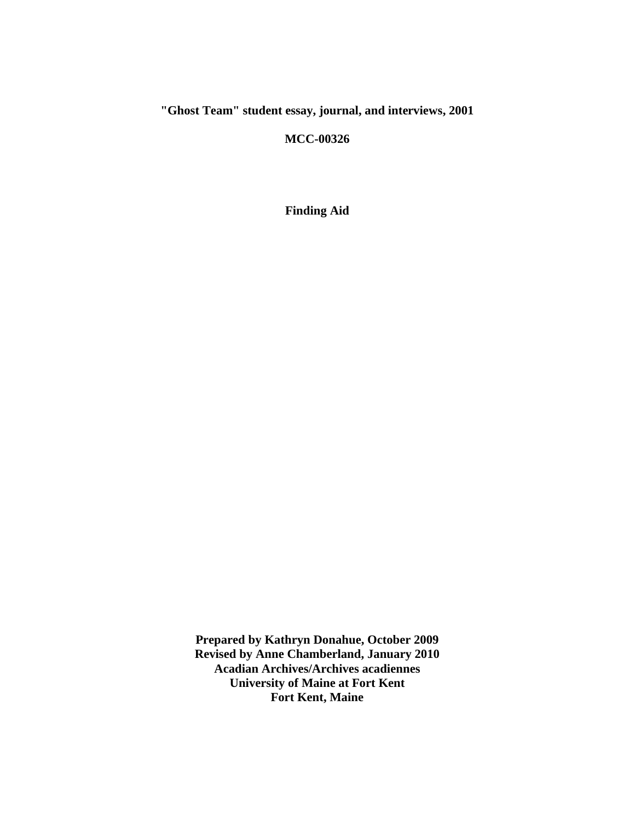# **"Ghost Team" student essay, journal, and interviews, 2001**

**MCC-00326**

**Finding Aid**

**Prepared by Kathryn Donahue, October 2009 Revised by Anne Chamberland, January 2010 Acadian Archives/Archives acadiennes University of Maine at Fort Kent Fort Kent, Maine**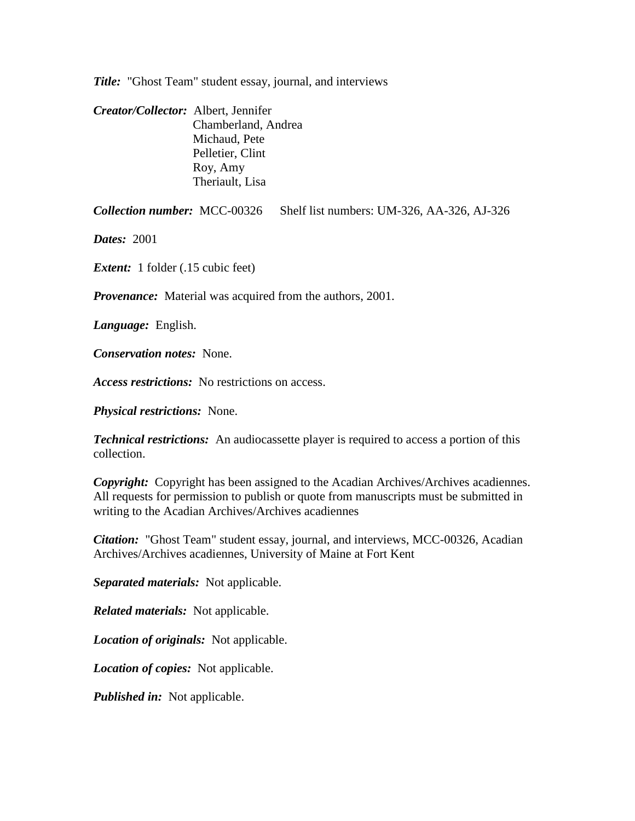*Title:* "Ghost Team" student essay, journal, and interviews

*Creator/Collector:* Albert, Jennifer Chamberland, Andrea Michaud, Pete Pelletier, Clint Roy, Amy Theriault, Lisa

*Collection number:* MCC-00326 Shelf list numbers: UM-326, AA-326, AJ-326

*Dates:* 2001

*Extent:* 1 folder (.15 cubic feet)

*Provenance:* Material was acquired from the authors, 2001.

*Language:* English.

*Conservation notes:* None.

*Access restrictions:* No restrictions on access.

*Physical restrictions:* None.

*Technical restrictions:* An audiocassette player is required to access a portion of this collection.

*Copyright:* Copyright has been assigned to the Acadian Archives/Archives acadiennes. All requests for permission to publish or quote from manuscripts must be submitted in writing to the Acadian Archives/Archives acadiennes

*Citation:* "Ghost Team" student essay, journal, and interviews, MCC-00326, Acadian Archives/Archives acadiennes, University of Maine at Fort Kent

*Separated materials:* Not applicable.

*Related materials:* Not applicable.

*Location of originals:* Not applicable.

*Location of copies:* Not applicable.

*Published in:* Not applicable.